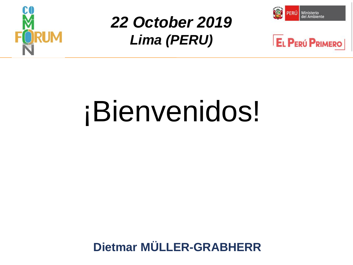

## *22 October 2019 Lima (PERU)*





# ¡Bienvenidos!

**Dietmar MÜLLER-GRABHERR**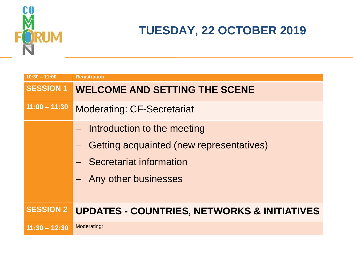

#### **TUESDAY, 22 OCTOBER 2019**

| $10:30 - 11:00$  | <b>Registration</b>                                    |
|------------------|--------------------------------------------------------|
| <b>SESSION 1</b> | <b>WELCOME AND SETTING THE SCENE</b>                   |
| $11:00 - 11:30$  | <b>Moderating: CF-Secretariat</b>                      |
|                  | Introduction to the meeting                            |
|                  | Getting acquainted (new representatives)               |
|                  | - Secretariat information                              |
|                  | - Any other businesses                                 |
|                  |                                                        |
| <b>SESSION 2</b> | <b>UPDATES - COUNTRIES, NETWORKS &amp; INITIATIVES</b> |
| $11:30 - 12:30$  | Moderating:                                            |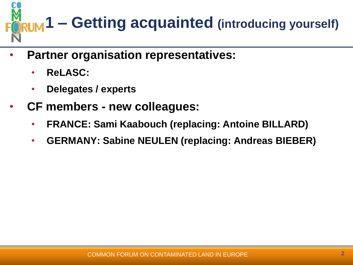

- **Partner organisation representatives:**
	- **ReLASC:**
	- **Delegates / experts**
- **CF members - new colleagues:**
	- **FRANCE: Sami Kaabouch (replacing: Antoine BILLARD)**
	- **GERMANY: Sabine NEULEN (replacing: Andreas BIEBER)**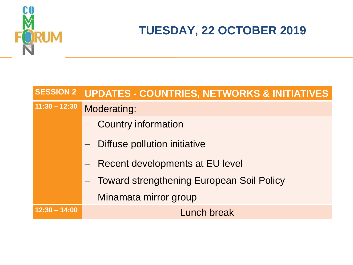

### **TUESDAY, 22 OCTOBER 2019**

| <b>SESSION 2</b><br>UPDATES - COUNTRIES, NETWORKS & INITIATIVES |  |
|-----------------------------------------------------------------|--|
| $11:30 - 12:30$<br>Moderating:                                  |  |
| - Country information                                           |  |
| Diffuse pollution initiative                                    |  |
| - Recent developments at EU level                               |  |
| - Toward strengthening European Soil Policy                     |  |
| - Minamata mirror group                                         |  |
| $12:30 - 14:00$<br>Lunch break                                  |  |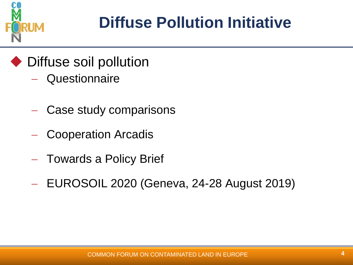

# **Diffuse Pollution Initiative**

- ◆ Diffuse soil pollution
	- **Questionnaire**
	- Case study comparisons
	- Cooperation Arcadis
	- Towards a Policy Brief
	- EUROSOIL 2020 (Geneva, 24-28 August 2019)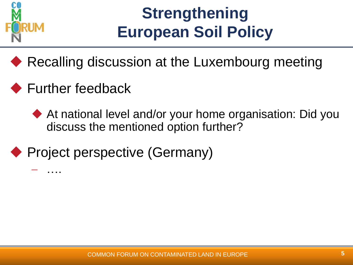

## **Strengthening European Soil Policy**

- ◆ Recalling discussion at the Luxembourg meeting
- ◆ Further feedback

….

- At national level and/or your home organisation: Did you discuss the mentioned option further?
- ◆ Project perspective (Germany)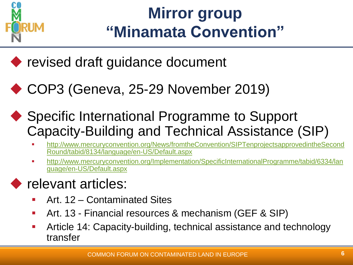

## **Mirror group "Minamata Convention"**

◆ revised draft guidance document

- ◆ COP3 (Geneva, 25-29 November 2019)
- ◆ Specific International Programme to Support Capacity-Building and Technical Assistance (SIP)
	- [http://www.mercuryconvention.org/News/fromtheConvention/SIPTenprojectsapprovedintheSecond](http://www.mercuryconvention.org/News/fromtheConvention/SIPTenprojectsapprovedintheSecondRound/tabid/8134/language/en-US/Default.aspx) [Round/tabid/8134/language/en-US/Default.aspx](http://www.mercuryconvention.org/News/fromtheConvention/SIPTenprojectsapprovedintheSecondRound/tabid/8134/language/en-US/Default.aspx)
	- [http://www.mercuryconvention.org/Implementation/SpecificInternationalProgramme/tabid/6334/lan](http://www.mercuryconvention.org/Implementation/SpecificInternationalProgramme/tabid/6334/language/en-US/Default.aspx) [guage/en-US/Default.aspx](http://www.mercuryconvention.org/Implementation/SpecificInternationalProgramme/tabid/6334/language/en-US/Default.aspx)

## relevant articles:

- Art. 12 Contaminated Sites
- Art. 13 Financial resources & mechanism (GEF & SIP)
- Article 14: Capacity-building, technical assistance and technology transfer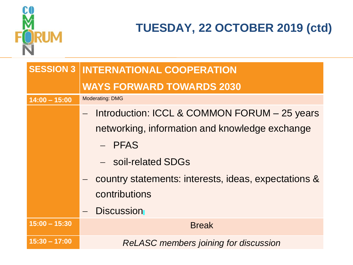

### **TUESDAY, 22 OCTOBER 2019 (ctd)**

| <b>SESSION 3</b> | <b>INTERNATIONAL COOPERATION</b>                     |
|------------------|------------------------------------------------------|
|                  | <b>WAYS FORWARD TOWARDS 2030</b>                     |
| $14:00 - 15:00$  | <b>Moderating: DMG</b>                               |
|                  | Introduction: ICCL & COMMON FORUM - 25 years         |
|                  | networking, information and knowledge exchange       |
|                  | $-$ PFAS                                             |
|                  | - soil-related SDGs                                  |
|                  | country statements: interests, ideas, expectations & |
|                  | contributions                                        |
|                  | - Discussion                                         |
| $15:00 - 15:30$  | <b>Break</b>                                         |
| $15:30 - 17:00$  | <b>ReLASC</b> members joining for discussion         |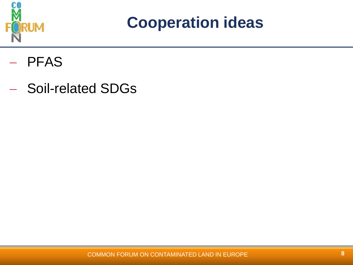

**Cooperation ideas** 

- PFAS
- Soil-related SDGs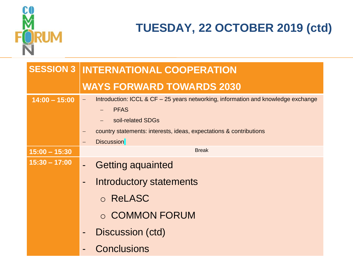

### **TUESDAY, 22 OCTOBER 2019 (ctd)**

|                 | <b>SESSION 3 INTERNATIONAL COOPERATION</b>                                                    |
|-----------------|-----------------------------------------------------------------------------------------------|
|                 | <b>WAYS FORWARD TOWARDS 2030</b>                                                              |
| $14:00 - 15:00$ | Introduction: ICCL & CF - 25 years networking, information and knowledge exchange<br>$\equiv$ |
|                 | <b>PFAS</b><br>soil-related SDGs                                                              |
|                 | country statements: interests, ideas, expectations & contributions                            |
|                 | <b>Discussion</b><br>$\qquad \qquad -$                                                        |
| $15:00 - 15:30$ | <b>Break</b>                                                                                  |
| $15:30 - 17:00$ | <b>Getting aquainted</b><br>$\blacksquare$                                                    |
|                 | <b>Introductory statements</b><br>$\overline{\phantom{0}}$                                    |
|                 | o ReLASC                                                                                      |
|                 | ○ COMMON FORUM                                                                                |
|                 | Discussion (ctd)<br>$\qquad \qquad \blacksquare$                                              |
|                 | <b>Conclusions</b>                                                                            |